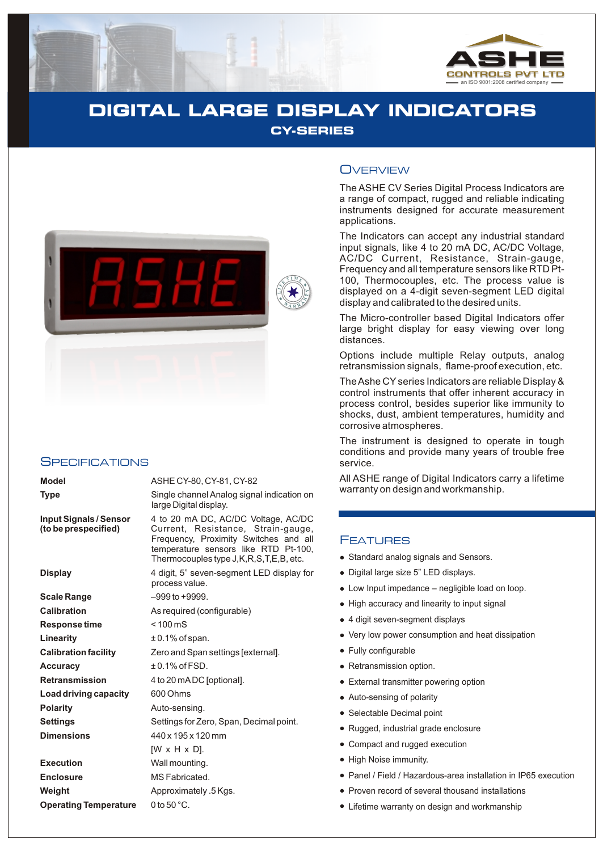

# **DIGITAL LARGE DISPLAY INDICATORS CY-SERIES**



#### **SPECIFICATIONS**

| Model                                          | ASHE CY-80, CY-81, CY-82                                                                                                                                                                                                                                                                                                                                                                                                                 |  |  |  |  |
|------------------------------------------------|------------------------------------------------------------------------------------------------------------------------------------------------------------------------------------------------------------------------------------------------------------------------------------------------------------------------------------------------------------------------------------------------------------------------------------------|--|--|--|--|
| <b>Type</b>                                    | Single channel Analog signal indication on<br>large Digital display.                                                                                                                                                                                                                                                                                                                                                                     |  |  |  |  |
| Input Signals / Sensor<br>(to be prespecified) | 4 to 20 mA DC, AC/DC Voltage, AC/DC<br>Current, Resistance, Strain-gauge,<br>Frequency, Proximity Switches and all<br>temperature sensors like RTD Pt-100,<br>Thermocouples type J, K, R, S, T, E, B, etc.<br>4 digit, 5" seven-segment LED display for<br>process value.<br>$-999$ to $+9999$ .<br>As required (configurable)<br>$< 100 \,\mathrm{mS}$<br>$\pm$ 0.1% of span.<br>Zero and Span settings [external].<br>$±0.1\%$ of FSD. |  |  |  |  |
| Display                                        |                                                                                                                                                                                                                                                                                                                                                                                                                                          |  |  |  |  |
| Scale Range                                    |                                                                                                                                                                                                                                                                                                                                                                                                                                          |  |  |  |  |
| Calibration                                    |                                                                                                                                                                                                                                                                                                                                                                                                                                          |  |  |  |  |
| <b>Response time</b>                           |                                                                                                                                                                                                                                                                                                                                                                                                                                          |  |  |  |  |
| Linearity                                      |                                                                                                                                                                                                                                                                                                                                                                                                                                          |  |  |  |  |
| <b>Calibration facility</b>                    |                                                                                                                                                                                                                                                                                                                                                                                                                                          |  |  |  |  |
| Accuracv                                       |                                                                                                                                                                                                                                                                                                                                                                                                                                          |  |  |  |  |
| Retransmission                                 | 4 to 20 mA DC [optional].                                                                                                                                                                                                                                                                                                                                                                                                                |  |  |  |  |
| Load driving capacity                          | 600 Ohms                                                                                                                                                                                                                                                                                                                                                                                                                                 |  |  |  |  |
| Polarity                                       | Auto-sensing.                                                                                                                                                                                                                                                                                                                                                                                                                            |  |  |  |  |
| Settings                                       | Settings for Zero, Span, Decimal point.                                                                                                                                                                                                                                                                                                                                                                                                  |  |  |  |  |
| <b>Dimensions</b>                              | 440 x 195 x 120 mm                                                                                                                                                                                                                                                                                                                                                                                                                       |  |  |  |  |
|                                                | $[W \times H \times D]$ .                                                                                                                                                                                                                                                                                                                                                                                                                |  |  |  |  |
| Execution                                      | Wall mounting.                                                                                                                                                                                                                                                                                                                                                                                                                           |  |  |  |  |
| <b>Enclosure</b>                               | MS Fabricated.                                                                                                                                                                                                                                                                                                                                                                                                                           |  |  |  |  |
| Weight                                         | Approximately .5 Kgs.                                                                                                                                                                                                                                                                                                                                                                                                                    |  |  |  |  |
| <b>Operating Temperature</b>                   | 0 to $50^{\circ}$ C.                                                                                                                                                                                                                                                                                                                                                                                                                     |  |  |  |  |

### **OVERVIEW**

The ASHE CV Series Digital Process Indicators are a range of compact, rugged and reliable indicating instruments designed for accurate measurement applications.

The Indicators can accept any industrial standard input signals, like 4 to 20 mA DC, AC/DC Voltage, AC/DC Current, Resistance, Strain-gauge, Frequency and all temperature sensors like RTD Pt-100, Thermocouples, etc. The process value is displayed on a 4-digit seven-segment LED digital display and calibrated to the desired units.

The Micro-controller based Digital Indicators offer large bright display for easy viewing over long distances.

Options include multiple Relay outputs, analog retransmission signals, flame-proof execution, etc.

The Ashe CYseries Indicators are reliable Display & control instruments that offer inherent accuracy in process control, besides superior like immunity to shocks, dust, ambient temperatures, humidity and corrosive atmospheres.

The instrument is designed to operate in tough conditions and provide many years of trouble free service.

All ASHE range of Digital Indicators carry a lifetime warranty on design and workmanship.

### **FEATURES**

- Standard analog signals and Sensors.
- llelliglike by Digita<br>
llighter Low I<br>
llighter 4 digital<br>
llellighter Fully<br>
lellighter Auto-<br>
select Rugger<br>
llighter Pane<br>
lighter Pane<br>
lighter Pane<br>
lighter Pane Digital large size 5" LED displays.
- Low Input impedance negligible load on loop.
- High accuracy and linearity to input signal
- 4 digit seven-segment displays
- Very low power consumption and heat dissipation
- Fully configurable
- Retransmission option.
- External transmitter powering option
- Auto-sensing of polarity
- Selectable Decimal point
- Rugged, industrial grade enclosure
- Compact and rugged execution
- High Noise immunity.
- Panel / Field / Hazardous-area installation in IP65 execution
- Proven record of several thousand installations
- Lifetime warranty on design and workmanship